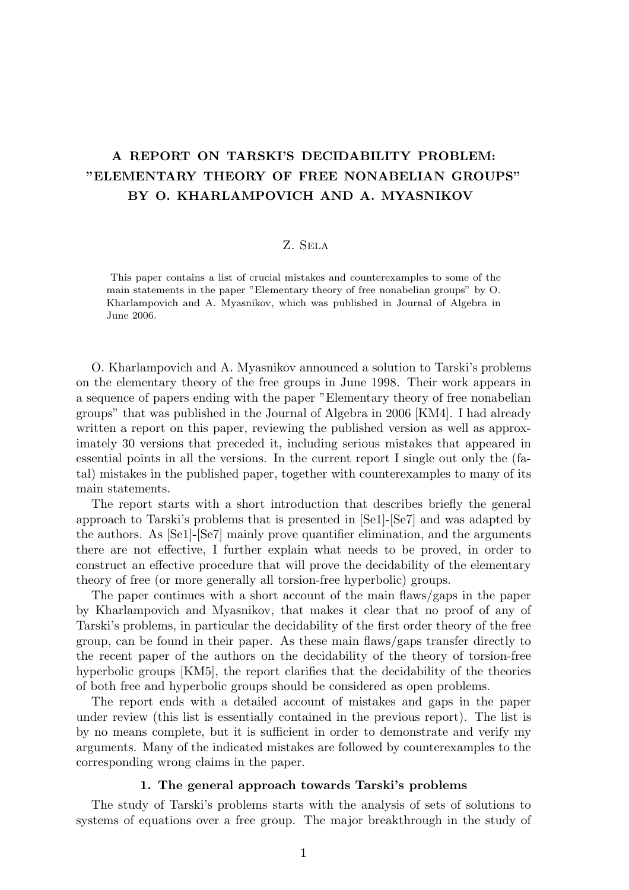# A REPORT ON TARSKI'S DECIDABILITY PROBLEM: "ELEMENTARY THEORY OF FREE NONABELIAN GROUPS" BY O. KHARLAMPOVICH AND A. MYASNIKOV

#### Z. Sela

This paper contains a list of crucial mistakes and counterexamples to some of the main statements in the paper "Elementary theory of free nonabelian groups" by O. Kharlampovich and A. Myasnikov, which was published in Journal of Algebra in June 2006.

O. Kharlampovich and A. Myasnikov announced a solution to Tarski's problems on the elementary theory of the free groups in June 1998. Their work appears in a sequence of papers ending with the paper "Elementary theory of free nonabelian groups" that was published in the Journal of Algebra in 2006 [KM4]. I had already written a report on this paper, reviewing the published version as well as approximately 30 versions that preceded it, including serious mistakes that appeared in essential points in all the versions. In the current report I single out only the (fatal) mistakes in the published paper, together with counterexamples to many of its main statements.

The report starts with a short introduction that describes briefly the general approach to Tarski's problems that is presented in [Se1]-[Se7] and was adapted by the authors. As [Se1]-[Se7] mainly prove quantifier elimination, and the arguments there are not effective, I further explain what needs to be proved, in order to construct an effective procedure that will prove the decidability of the elementary theory of free (or more generally all torsion-free hyperbolic) groups.

The paper continues with a short account of the main flaws/gaps in the paper by Kharlampovich and Myasnikov, that makes it clear that no proof of any of Tarski's problems, in particular the decidability of the first order theory of the free group, can be found in their paper. As these main flaws/gaps transfer directly to the recent paper of the authors on the decidability of the theory of torsion-free hyperbolic groups [KM5], the report clarifies that the decidability of the theories of both free and hyperbolic groups should be considered as open problems.

The report ends with a detailed account of mistakes and gaps in the paper under review (this list is essentially contained in the previous report). The list is by no means complete, but it is sufficient in order to demonstrate and verify my arguments. Many of the indicated mistakes are followed by counterexamples to the corresponding wrong claims in the paper.

### 1. The general approach towards Tarski's problems

The study of Tarski's problems starts with the analysis of sets of solutions to systems of equations over a free group. The major breakthrough in the study of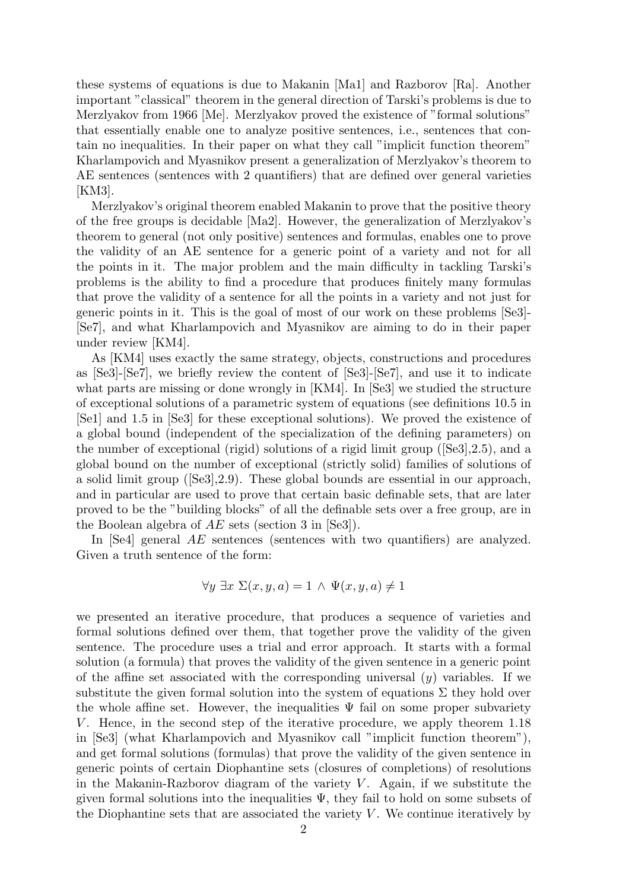these systems of equations is due to Makanin [Ma1] and Razborov [Ra]. Another important "classical" theorem in the general direction of Tarski's problems is due to Merzlyakov from 1966 [Me]. Merzlyakov proved the existence of "formal solutions" that essentially enable one to analyze positive sentences, i.e., sentences that contain no inequalities. In their paper on what they call "implicit function theorem" Kharlampovich and Myasnikov present a generalization of Merzlyakov's theorem to AE sentences (sentences with 2 quantifiers) that are defined over general varieties [KM3].

Merzlyakov's original theorem enabled Makanin to prove that the positive theory of the free groups is decidable [Ma2]. However, the generalization of Merzlyakov's theorem to general (not only positive) sentences and formulas, enables one to prove the validity of an AE sentence for a generic point of a variety and not for all the points in it. The major problem and the main difficulty in tackling Tarski's problems is the ability to find a procedure that produces finitely many formulas that prove the validity of a sentence for all the points in a variety and not just for generic points in it. This is the goal of most of our work on these problems [Se3]- [Se7], and what Kharlampovich and Myasnikov are aiming to do in their paper under review [KM4].

As [KM4] uses exactly the same strategy, objects, constructions and procedures as [Se3]-[Se7], we briefly review the content of [Se3]-[Se7], and use it to indicate what parts are missing or done wrongly in [KM4]. In [Se3] we studied the structure of exceptional solutions of a parametric system of equations (see definitions 10.5 in [Se1] and 1.5 in [Se3] for these exceptional solutions). We proved the existence of a global bound (independent of the specialization of the defining parameters) on the number of exceptional (rigid) solutions of a rigid limit group ([Se3],2.5), and a global bound on the number of exceptional (strictly solid) families of solutions of a solid limit group ([Se3],2.9). These global bounds are essential in our approach, and in particular are used to prove that certain basic definable sets, that are later proved to be the "building blocks" of all the definable sets over a free group, are in the Boolean algebra of  $AE$  sets (section 3 in [Se3]).

In [Se4] general AE sentences (sentences with two quantifiers) are analyzed. Given a truth sentence of the form:

$$
\forall y \; \exists x \; \Sigma(x, y, a) = 1 \; \wedge \; \Psi(x, y, a) \neq 1
$$

we presented an iterative procedure, that produces a sequence of varieties and formal solutions defined over them, that together prove the validity of the given sentence. The procedure uses a trial and error approach. It starts with a formal solution (a formula) that proves the validity of the given sentence in a generic point of the affine set associated with the corresponding universal  $(y)$  variables. If we substitute the given formal solution into the system of equations  $\Sigma$  they hold over the whole affine set. However, the inequalities  $\Psi$  fail on some proper subvariety V. Hence, in the second step of the iterative procedure, we apply theorem 1.18 in [Se3] (what Kharlampovich and Myasnikov call "implicit function theorem"), and get formal solutions (formulas) that prove the validity of the given sentence in generic points of certain Diophantine sets (closures of completions) of resolutions in the Makanin-Razborov diagram of the variety  $V$ . Again, if we substitute the given formal solutions into the inequalities  $\Psi$ , they fail to hold on some subsets of the Diophantine sets that are associated the variety  $V$ . We continue iteratively by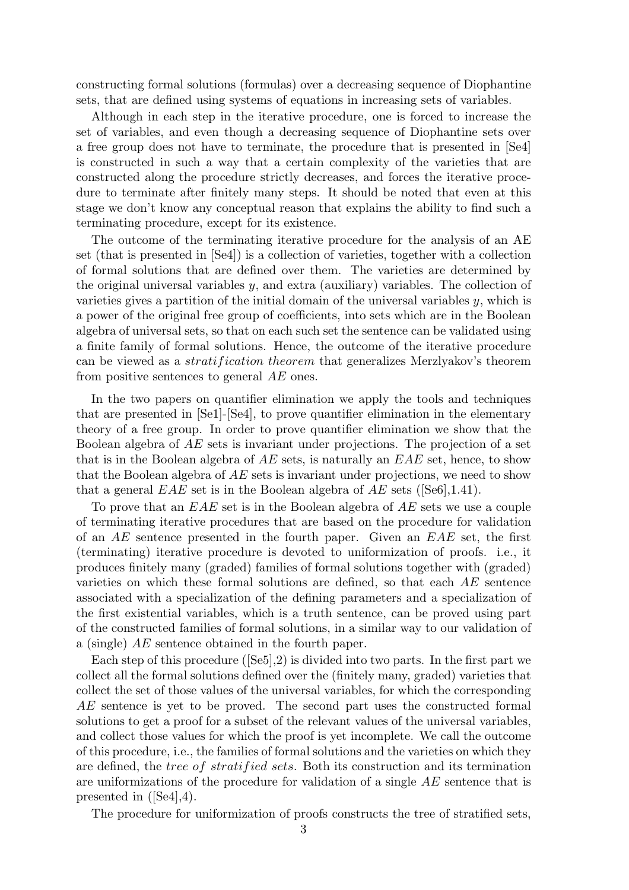constructing formal solutions (formulas) over a decreasing sequence of Diophantine sets, that are defined using systems of equations in increasing sets of variables.

Although in each step in the iterative procedure, one is forced to increase the set of variables, and even though a decreasing sequence of Diophantine sets over a free group does not have to terminate, the procedure that is presented in [Se4] is constructed in such a way that a certain complexity of the varieties that are constructed along the procedure strictly decreases, and forces the iterative procedure to terminate after finitely many steps. It should be noted that even at this stage we don't know any conceptual reason that explains the ability to find such a terminating procedure, except for its existence.

The outcome of the terminating iterative procedure for the analysis of an AE set (that is presented in [Se4]) is a collection of varieties, together with a collection of formal solutions that are defined over them. The varieties are determined by the original universal variables  $y$ , and extra (auxiliary) variables. The collection of varieties gives a partition of the initial domain of the universal variables y, which is a power of the original free group of coefficients, into sets which are in the Boolean algebra of universal sets, so that on each such set the sentence can be validated using a finite family of formal solutions. Hence, the outcome of the iterative procedure can be viewed as a *stratification theorem* that generalizes Merzlyakov's theorem from positive sentences to general AE ones.

In the two papers on quantifier elimination we apply the tools and techniques that are presented in [Se1]-[Se4], to prove quantifier elimination in the elementary theory of a free group. In order to prove quantifier elimination we show that the Boolean algebra of AE sets is invariant under projections. The projection of a set that is in the Boolean algebra of  $AE$  sets, is naturally an  $EAE$  set, hence, to show that the Boolean algebra of AE sets is invariant under projections, we need to show that a general  $EAE$  set is in the Boolean algebra of  $AE$  sets ([Se6],1.41).

To prove that an EAE set is in the Boolean algebra of AE sets we use a couple of terminating iterative procedures that are based on the procedure for validation of an  $AE$  sentence presented in the fourth paper. Given an  $EAE$  set, the first (terminating) iterative procedure is devoted to uniformization of proofs. i.e., it produces finitely many (graded) families of formal solutions together with (graded) varieties on which these formal solutions are defined, so that each AE sentence associated with a specialization of the defining parameters and a specialization of the first existential variables, which is a truth sentence, can be proved using part of the constructed families of formal solutions, in a similar way to our validation of a (single) AE sentence obtained in the fourth paper.

Each step of this procedure  $(Se5, 2)$  is divided into two parts. In the first part we collect all the formal solutions defined over the (finitely many, graded) varieties that collect the set of those values of the universal variables, for which the corresponding AE sentence is yet to be proved. The second part uses the constructed formal solutions to get a proof for a subset of the relevant values of the universal variables, and collect those values for which the proof is yet incomplete. We call the outcome of this procedure, i.e., the families of formal solutions and the varieties on which they are defined, the tree of stratified sets. Both its construction and its termination are uniformizations of the procedure for validation of a single AE sentence that is presented in ([Se4],4).

The procedure for uniformization of proofs constructs the tree of stratified sets,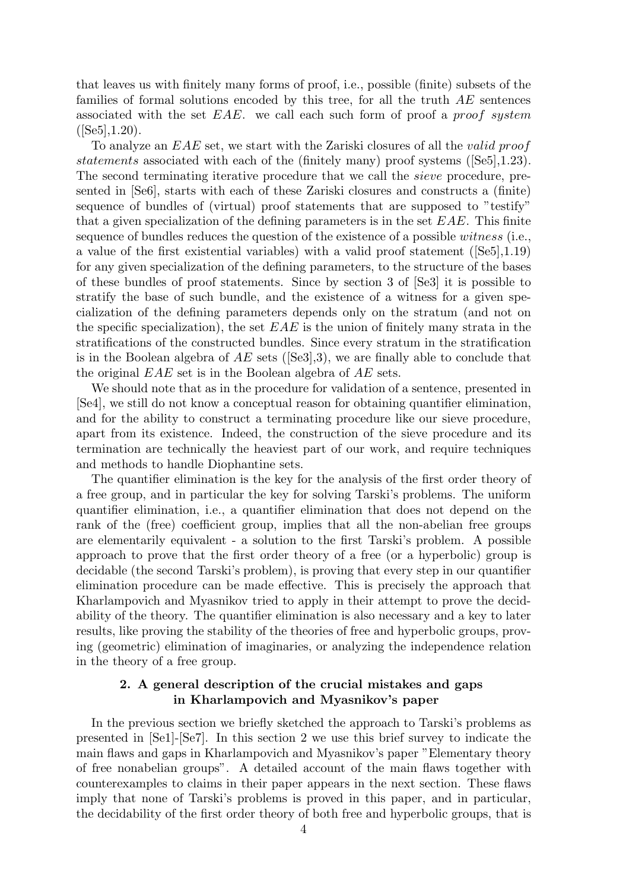that leaves us with finitely many forms of proof, i.e., possible (finite) subsets of the families of formal solutions encoded by this tree, for all the truth AE sentences associated with the set  $EAE$ , we call each such form of proof a proof system  $([Se5], 1.20).$ 

To analyze an EAE set, we start with the Zariski closures of all the valid proof statements associated with each of the (finitely many) proof systems ( $[Se5]$ ,1.23). The second terminating iterative procedure that we call the *sieve* procedure, presented in [Se6], starts with each of these Zariski closures and constructs a (finite) sequence of bundles of (virtual) proof statements that are supposed to "testify" that a given specialization of the defining parameters is in the set  $EAE$ . This finite sequence of bundles reduces the question of the existence of a possible witness (i.e., a value of the first existential variables) with a valid proof statement  $(Se5,1.19)$ for any given specialization of the defining parameters, to the structure of the bases of these bundles of proof statements. Since by section 3 of [Se3] it is possible to stratify the base of such bundle, and the existence of a witness for a given specialization of the defining parameters depends only on the stratum (and not on the specific specialization), the set  $EAE$  is the union of finitely many strata in the stratifications of the constructed bundles. Since every stratum in the stratification is in the Boolean algebra of  $AE$  sets ([Se3],3), we are finally able to conclude that the original EAE set is in the Boolean algebra of AE sets.

We should note that as in the procedure for validation of a sentence, presented in [Se4], we still do not know a conceptual reason for obtaining quantifier elimination, and for the ability to construct a terminating procedure like our sieve procedure, apart from its existence. Indeed, the construction of the sieve procedure and its termination are technically the heaviest part of our work, and require techniques and methods to handle Diophantine sets.

The quantifier elimination is the key for the analysis of the first order theory of a free group, and in particular the key for solving Tarski's problems. The uniform quantifier elimination, i.e., a quantifier elimination that does not depend on the rank of the (free) coefficient group, implies that all the non-abelian free groups are elementarily equivalent - a solution to the first Tarski's problem. A possible approach to prove that the first order theory of a free (or a hyperbolic) group is decidable (the second Tarski's problem), is proving that every step in our quantifier elimination procedure can be made effective. This is precisely the approach that Kharlampovich and Myasnikov tried to apply in their attempt to prove the decidability of the theory. The quantifier elimination is also necessary and a key to later results, like proving the stability of the theories of free and hyperbolic groups, proving (geometric) elimination of imaginaries, or analyzing the independence relation in the theory of a free group.

## 2. A general description of the crucial mistakes and gaps in Kharlampovich and Myasnikov's paper

In the previous section we briefly sketched the approach to Tarski's problems as presented in [Se1]-[Se7]. In this section 2 we use this brief survey to indicate the main flaws and gaps in Kharlampovich and Myasnikov's paper "Elementary theory of free nonabelian groups". A detailed account of the main flaws together with counterexamples to claims in their paper appears in the next section. These flaws imply that none of Tarski's problems is proved in this paper, and in particular, the decidability of the first order theory of both free and hyperbolic groups, that is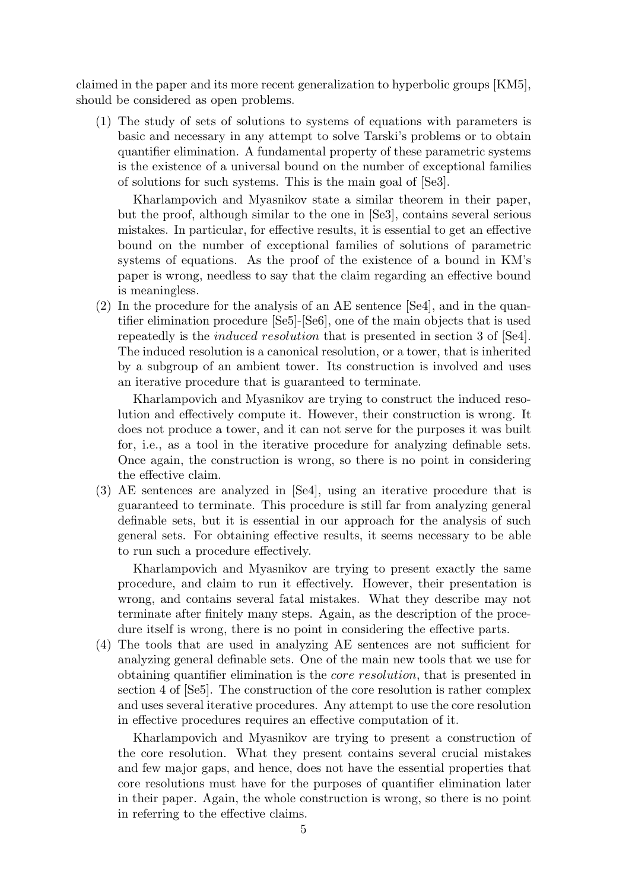claimed in the paper and its more recent generalization to hyperbolic groups [KM5], should be considered as open problems.

(1) The study of sets of solutions to systems of equations with parameters is basic and necessary in any attempt to solve Tarski's problems or to obtain quantifier elimination. A fundamental property of these parametric systems is the existence of a universal bound on the number of exceptional families of solutions for such systems. This is the main goal of [Se3].

Kharlampovich and Myasnikov state a similar theorem in their paper, but the proof, although similar to the one in [Se3], contains several serious mistakes. In particular, for effective results, it is essential to get an effective bound on the number of exceptional families of solutions of parametric systems of equations. As the proof of the existence of a bound in KM's paper is wrong, needless to say that the claim regarding an effective bound is meaningless.

(2) In the procedure for the analysis of an AE sentence [Se4], and in the quantifier elimination procedure [Se5]-[Se6], one of the main objects that is used repeatedly is the induced resolution that is presented in section 3 of [Se4]. The induced resolution is a canonical resolution, or a tower, that is inherited by a subgroup of an ambient tower. Its construction is involved and uses an iterative procedure that is guaranteed to terminate.

Kharlampovich and Myasnikov are trying to construct the induced resolution and effectively compute it. However, their construction is wrong. It does not produce a tower, and it can not serve for the purposes it was built for, i.e., as a tool in the iterative procedure for analyzing definable sets. Once again, the construction is wrong, so there is no point in considering the effective claim.

(3) AE sentences are analyzed in [Se4], using an iterative procedure that is guaranteed to terminate. This procedure is still far from analyzing general definable sets, but it is essential in our approach for the analysis of such general sets. For obtaining effective results, it seems necessary to be able to run such a procedure effectively.

Kharlampovich and Myasnikov are trying to present exactly the same procedure, and claim to run it effectively. However, their presentation is wrong, and contains several fatal mistakes. What they describe may not terminate after finitely many steps. Again, as the description of the procedure itself is wrong, there is no point in considering the effective parts.

(4) The tools that are used in analyzing AE sentences are not sufficient for analyzing general definable sets. One of the main new tools that we use for obtaining quantifier elimination is the core resolution, that is presented in section 4 of [Se5]. The construction of the core resolution is rather complex and uses several iterative procedures. Any attempt to use the core resolution in effective procedures requires an effective computation of it.

Kharlampovich and Myasnikov are trying to present a construction of the core resolution. What they present contains several crucial mistakes and few major gaps, and hence, does not have the essential properties that core resolutions must have for the purposes of quantifier elimination later in their paper. Again, the whole construction is wrong, so there is no point in referring to the effective claims.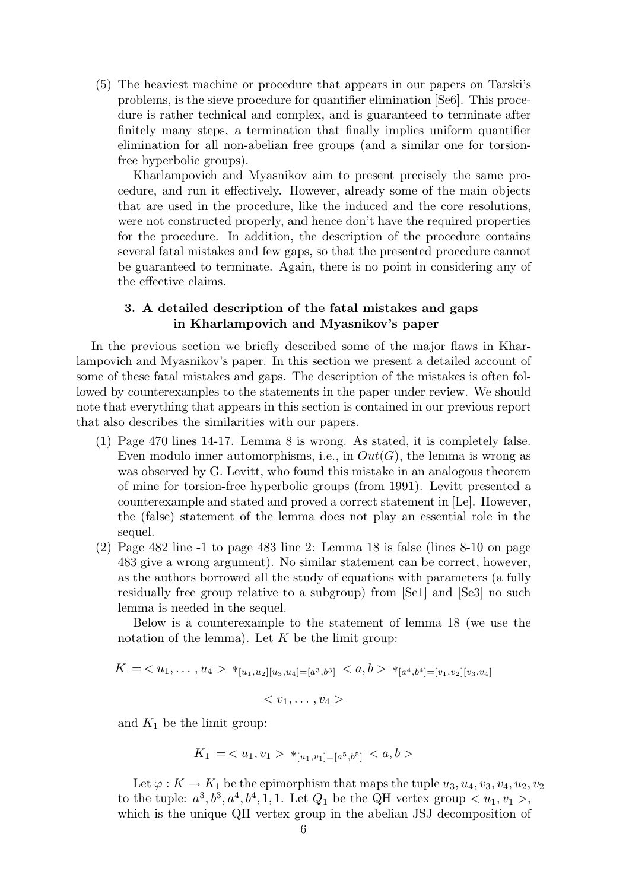(5) The heaviest machine or procedure that appears in our papers on Tarski's problems, is the sieve procedure for quantifier elimination [Se6]. This procedure is rather technical and complex, and is guaranteed to terminate after finitely many steps, a termination that finally implies uniform quantifier elimination for all non-abelian free groups (and a similar one for torsionfree hyperbolic groups).

Kharlampovich and Myasnikov aim to present precisely the same procedure, and run it effectively. However, already some of the main objects that are used in the procedure, like the induced and the core resolutions, were not constructed properly, and hence don't have the required properties for the procedure. In addition, the description of the procedure contains several fatal mistakes and few gaps, so that the presented procedure cannot be guaranteed to terminate. Again, there is no point in considering any of the effective claims.

## 3. A detailed description of the fatal mistakes and gaps in Kharlampovich and Myasnikov's paper

In the previous section we briefly described some of the major flaws in Kharlampovich and Myasnikov's paper. In this section we present a detailed account of some of these fatal mistakes and gaps. The description of the mistakes is often followed by counterexamples to the statements in the paper under review. We should note that everything that appears in this section is contained in our previous report that also describes the similarities with our papers.

- (1) Page 470 lines 14-17. Lemma 8 is wrong. As stated, it is completely false. Even modulo inner automorphisms, i.e., in  $Out(G)$ , the lemma is wrong as was observed by G. Levitt, who found this mistake in an analogous theorem of mine for torsion-free hyperbolic groups (from 1991). Levitt presented a counterexample and stated and proved a correct statement in [Le]. However, the (false) statement of the lemma does not play an essential role in the sequel.
- (2) Page 482 line -1 to page 483 line 2: Lemma 18 is false (lines 8-10 on page 483 give a wrong argument). No similar statement can be correct, however, as the authors borrowed all the study of equations with parameters (a fully residually free group relative to a subgroup) from [Se1] and [Se3] no such lemma is needed in the sequel.

Below is a counterexample to the statement of lemma 18 (we use the notation of the lemma). Let  $K$  be the limit group:

$$
K = \langle u_1, \ldots, u_4 \rangle *_{[u_1, u_2][u_3, u_4] = [a^3, b^3]} \langle a, b \rangle *_{[a^4, b^4] = [v_1, v_2][v_3, v_4]}
$$

$$

$$

and  $K_1$  be the limit group:

$$
K_1 = \langle u_1, v_1 \rangle *_{[u_1, v_1] = [a^5, b^5]} \langle a, b \rangle
$$

Let  $\varphi: K \to K_1$  be the epimorphism that maps the tuple  $u_3, u_4, v_3, v_4, u_2, v_2$ to the tuple:  $a^3, b^3, a^4, b^4, 1, 1$ . Let  $Q_1$  be the QH vertex group  $\langle u_1, v_1 \rangle$ , which is the unique QH vertex group in the abelian JSJ decomposition of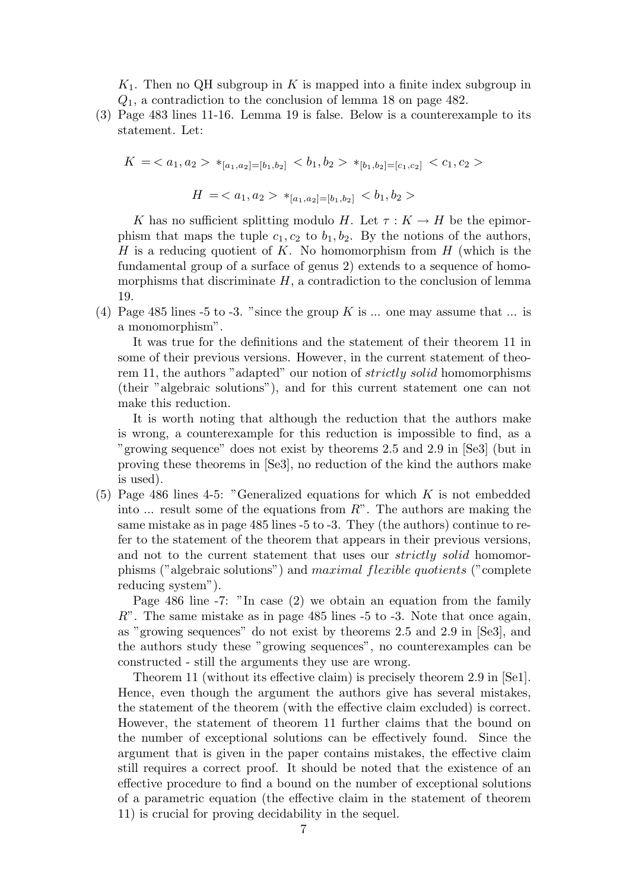$K_1$ . Then no QH subgroup in K is mapped into a finite index subgroup in  $Q_1$ , a contradiction to the conclusion of lemma 18 on page 482.

(3) Page 483 lines 11-16. Lemma 19 is false. Below is a counterexample to its statement. Let:

$$
K = \langle a_1, a_2 \rangle *_{[a_1, a_2] = [b_1, b_2]} \langle b_1, b_2 \rangle *_{[b_1, b_2] = [c_1, c_2]} \langle c_1, c_2 \rangle
$$
  

$$
H = \langle a_1, a_2 \rangle *_{[a_1, a_2] = [b_1, b_2]} \langle b_1, b_2 \rangle
$$

K has no sufficient splitting modulo H. Let  $\tau : K \to H$  be the epimorphism that maps the tuple  $c_1, c_2$  to  $b_1, b_2$ . By the notions of the authors, H is a reducing quotient of K. No homomorphism from  $H$  (which is the fundamental group of a surface of genus 2) extends to a sequence of homomorphisms that discriminate  $H$ , a contradiction to the conclusion of lemma 19.

(4) Page 485 lines -5 to -3. "since the group K is ... one may assume that ... is a monomorphism".

It was true for the definitions and the statement of their theorem 11 in some of their previous versions. However, in the current statement of theorem 11, the authors "adapted" our notion of strictly solid homomorphisms (their "algebraic solutions"), and for this current statement one can not make this reduction.

It is worth noting that although the reduction that the authors make is wrong, a counterexample for this reduction is impossible to find, as a "growing sequence" does not exist by theorems 2.5 and 2.9 in [Se3] (but in proving these theorems in [Se3], no reduction of the kind the authors make is used).

(5) Page 486 lines 4-5: "Generalized equations for which  $K$  is not embedded into  $\ldots$  result some of the equations from  $R$ ". The authors are making the same mistake as in page 485 lines -5 to -3. They (the authors) continue to refer to the statement of the theorem that appears in their previous versions, and not to the current statement that uses our *strictly solid* homomorphisms ("algebraic solutions") and maximal flexible quotients ("complete reducing system").

Page 486 line -7: "In case (2) we obtain an equation from the family  $R$ ". The same mistake as in page 485 lines  $-5$  to  $-3$ . Note that once again, as "growing sequences" do not exist by theorems 2.5 and 2.9 in [Se3], and the authors study these "growing sequences", no counterexamples can be constructed - still the arguments they use are wrong.

Theorem 11 (without its effective claim) is precisely theorem 2.9 in [Se1]. Hence, even though the argument the authors give has several mistakes, the statement of the theorem (with the effective claim excluded) is correct. However, the statement of theorem 11 further claims that the bound on the number of exceptional solutions can be effectively found. Since the argument that is given in the paper contains mistakes, the effective claim still requires a correct proof. It should be noted that the existence of an effective procedure to find a bound on the number of exceptional solutions of a parametric equation (the effective claim in the statement of theorem 11) is crucial for proving decidability in the sequel.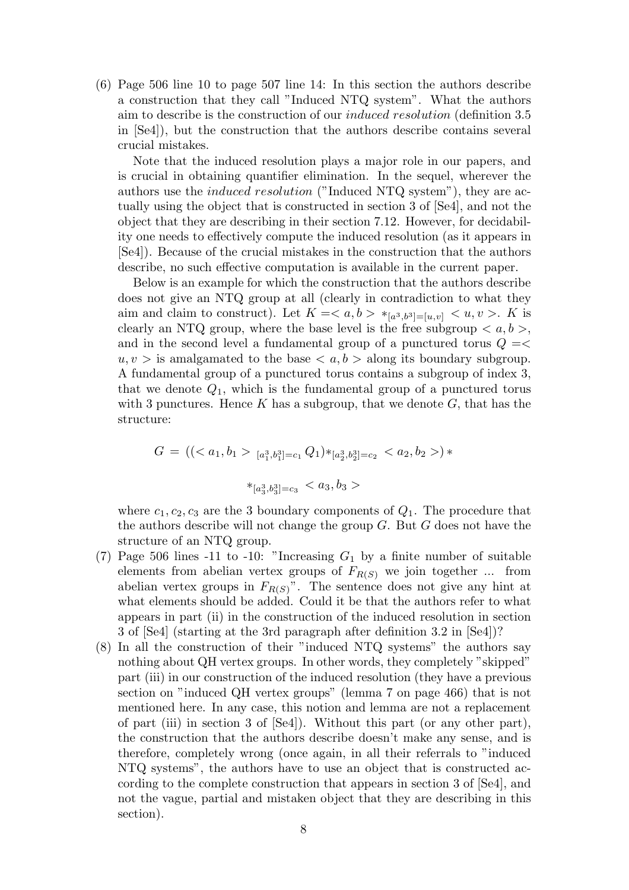(6) Page 506 line 10 to page 507 line 14: In this section the authors describe a construction that they call "Induced NTQ system". What the authors aim to describe is the construction of our induced resolution (definition 3.5 in [Se4]), but the construction that the authors describe contains several crucial mistakes.

Note that the induced resolution plays a major role in our papers, and is crucial in obtaining quantifier elimination. In the sequel, wherever the authors use the induced resolution ("Induced NTQ system"), they are actually using the object that is constructed in section 3 of [Se4], and not the object that they are describing in their section 7.12. However, for decidability one needs to effectively compute the induced resolution (as it appears in [Se4]). Because of the crucial mistakes in the construction that the authors describe, no such effective computation is available in the current paper.

Below is an example for which the construction that the authors describe does not give an NTQ group at all (clearly in contradiction to what they aim and claim to construct). Let  $K = \langle a, b \rangle *_{[a^3, b^3] = [u, v]} \langle u, v \rangle$ . K is clearly an NTQ group, where the base level is the free subgroup  $\langle a, b \rangle$ , and in the second level a fundamental group of a punctured torus  $Q = \leq$  $u, v >$  is amalgamated to the base  $\langle a, b \rangle$  along its boundary subgroup. A fundamental group of a punctured torus contains a subgroup of index 3, that we denote  $Q_1$ , which is the fundamental group of a punctured torus with 3 punctures. Hence  $K$  has a subgroup, that we denote  $G$ , that has the structure:

$$
G = ((_{[a_1^3, b_1^3]=c_1} Q_1) *_{[a_2^3, b_2^3]=c_2} ) *
$$

$$
*_{[a_3^3, b_3^3]=c_3} < a_3, b_3 >
$$

where  $c_1, c_2, c_3$  are the 3 boundary components of  $Q_1$ . The procedure that the authors describe will not change the group  $G$ . But  $G$  does not have the structure of an NTQ group.

- (7) Page 506 lines -11 to -10: "Increasing  $G_1$  by a finite number of suitable elements from abelian vertex groups of  $F_{R(S)}$  we join together ... from abelian vertex groups in  $F_{R(S)}$ ". The sentence does not give any hint at what elements should be added. Could it be that the authors refer to what appears in part (ii) in the construction of the induced resolution in section 3 of [Se4] (starting at the 3rd paragraph after definition 3.2 in [Se4])?
- (8) In all the construction of their "induced NTQ systems" the authors say nothing about QH vertex groups. In other words, they completely "skipped" part (iii) in our construction of the induced resolution (they have a previous section on "induced QH vertex groups" (lemma 7 on page 466) that is not mentioned here. In any case, this notion and lemma are not a replacement of part (iii) in section 3 of  $[Se4]$ ). Without this part (or any other part), the construction that the authors describe doesn't make any sense, and is therefore, completely wrong (once again, in all their referrals to "induced NTQ systems", the authors have to use an object that is constructed according to the complete construction that appears in section 3 of [Se4], and not the vague, partial and mistaken object that they are describing in this section).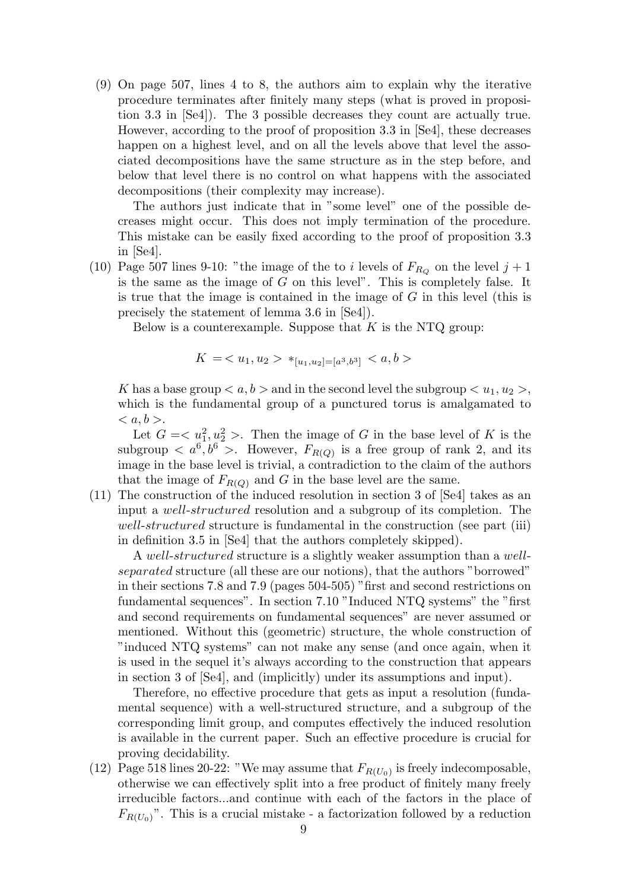(9) On page 507, lines 4 to 8, the authors aim to explain why the iterative procedure terminates after finitely many steps (what is proved in proposition 3.3 in [Se4]). The 3 possible decreases they count are actually true. However, according to the proof of proposition 3.3 in [Se4], these decreases happen on a highest level, and on all the levels above that level the associated decompositions have the same structure as in the step before, and below that level there is no control on what happens with the associated decompositions (their complexity may increase).

The authors just indicate that in "some level" one of the possible decreases might occur. This does not imply termination of the procedure. This mistake can be easily fixed according to the proof of proposition 3.3 in [Se4].

(10) Page 507 lines 9-10: "the image of the to i levels of  $F_{R_Q}$  on the level  $j+1$ is the same as the image of  $G$  on this level". This is completely false. It is true that the image is contained in the image of  $G$  in this level (this is precisely the statement of lemma 3.6 in [Se4]).

Below is a counterexample. Suppose that  $K$  is the NTQ group:

$$
K = \langle u_1, u_2 \rangle *_{[u_1, u_2] = [a^3, b^3]} \langle a, b \rangle
$$

K has a base group  $\langle a, b \rangle$  and in the second level the subgroup  $\langle u_1, u_2 \rangle$ , which is the fundamental group of a punctured torus is amalgamated to  $\langle a,b\rangle$ .

Let  $G = \langle u_1^2, u_2^2 \rangle$ . Then the image of G in the base level of K is the subgroup  $\langle a^6, b^6 \rangle$ . However,  $F_{R(Q)}$  is a free group of rank 2, and its image in the base level is trivial, a contradiction to the claim of the authors that the image of  $F_{R(Q)}$  and G in the base level are the same.

(11) The construction of the induced resolution in section 3 of [Se4] takes as an input a well-structured resolution and a subgroup of its completion. The well-structured structure is fundamental in the construction (see part (iii) in definition 3.5 in [Se4] that the authors completely skipped).

A well-structured structure is a slightly weaker assumption than a wellseparated structure (all these are our notions), that the authors "borrowed" in their sections 7.8 and 7.9 (pages 504-505) "first and second restrictions on fundamental sequences". In section 7.10 "Induced NTQ systems" the "first and second requirements on fundamental sequences" are never assumed or mentioned. Without this (geometric) structure, the whole construction of "induced NTQ systems" can not make any sense (and once again, when it is used in the sequel it's always according to the construction that appears in section 3 of [Se4], and (implicitly) under its assumptions and input).

Therefore, no effective procedure that gets as input a resolution (fundamental sequence) with a well-structured structure, and a subgroup of the corresponding limit group, and computes effectively the induced resolution is available in the current paper. Such an effective procedure is crucial for proving decidability.

(12) Page 518 lines 20-22: "We may assume that  $F_{R(U_0)}$  is freely indecomposable, otherwise we can effectively split into a free product of finitely many freely irreducible factors...and continue with each of the factors in the place of  $F_{R(U_0)}$ ". This is a crucial mistake - a factorization followed by a reduction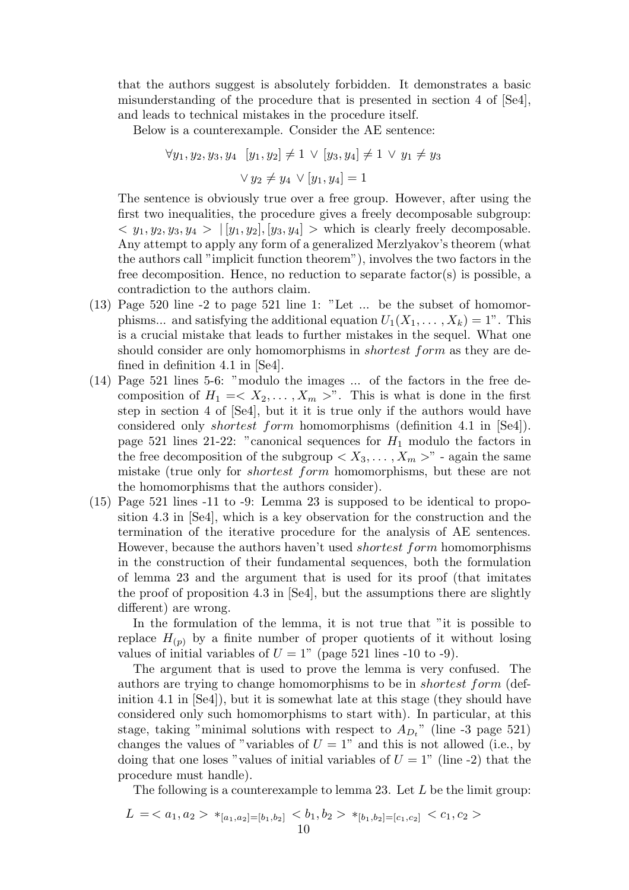that the authors suggest is absolutely forbidden. It demonstrates a basic misunderstanding of the procedure that is presented in section 4 of [Se4], and leads to technical mistakes in the procedure itself.

Below is a counterexample. Consider the AE sentence:

$$
\forall y_1, y_2, y_3, y_4 \ [y_1, y_2] \neq 1 \lor [y_3, y_4] \neq 1 \lor y_1 \neq y_3
$$

$$
\lor y_2 \neq y_4 \lor [y_1, y_4] = 1
$$

The sentence is obviously true over a free group. However, after using the first two inequalities, the procedure gives a freely decomposable subgroup:  $\langle y_1, y_2, y_3, y_4 \rangle |[y_1, y_2], [y_3, y_4] \rangle$  which is clearly freely decomposable. Any attempt to apply any form of a generalized Merzlyakov's theorem (what the authors call "implicit function theorem"), involves the two factors in the free decomposition. Hence, no reduction to separate factor(s) is possible, a contradiction to the authors claim.

- (13) Page 520 line -2 to page 521 line 1: "Let ... be the subset of homomorphisms... and satisfying the additional equation  $U_1(X_1, \ldots, X_k) = 1$ ". This is a crucial mistake that leads to further mistakes in the sequel. What one should consider are only homomorphisms in *shortest form* as they are defined in definition 4.1 in [Se4].
- (14) Page 521 lines 5-6: "modulo the images ... of the factors in the free decomposition of  $H_1 = \langle X_2, \ldots, X_m \rangle$ . This is what is done in the first step in section 4 of [Se4], but it it is true only if the authors would have considered only shortest form homomorphisms (definition 4.1 in [Se4]). page 521 lines 21-22: "canonical sequences for  $H_1$  modulo the factors in the free decomposition of the subgroup  $\langle X_3, \ldots, X_m \rangle$ " - again the same mistake (true only for shortest form homomorphisms, but these are not the homomorphisms that the authors consider).
- (15) Page 521 lines -11 to -9: Lemma 23 is supposed to be identical to proposition 4.3 in [Se4], which is a key observation for the construction and the termination of the iterative procedure for the analysis of AE sentences. However, because the authors haven't used shortest form homomorphisms in the construction of their fundamental sequences, both the formulation of lemma 23 and the argument that is used for its proof (that imitates the proof of proposition 4.3 in [Se4], but the assumptions there are slightly different) are wrong.

In the formulation of the lemma, it is not true that "it is possible to replace  $H_{(p)}$  by a finite number of proper quotients of it without losing values of initial variables of  $U = 1$ " (page 521 lines -10 to -9).

The argument that is used to prove the lemma is very confused. The authors are trying to change homomorphisms to be in shortest form (definition 4.1 in [Se4]), but it is somewhat late at this stage (they should have considered only such homomorphisms to start with). In particular, at this stage, taking "minimal solutions with respect to  $A_{D_t}$ " (line -3 page 521) changes the values of "variables of  $U = 1$ " and this is not allowed (i.e., by doing that one loses "values of initial variables of  $U = 1$ " (line -2) that the procedure must handle).

The following is a counterexample to lemma 23. Let  $L$  be the limit group:

$$
L = \langle a_1, a_2 \rangle *_{[a_1, a_2] = [b_1, b_2]} \langle b_1, b_2 \rangle *_{[b_1, b_2] = [c_1, c_2]} \langle c_1, c_2 \rangle
$$
  
10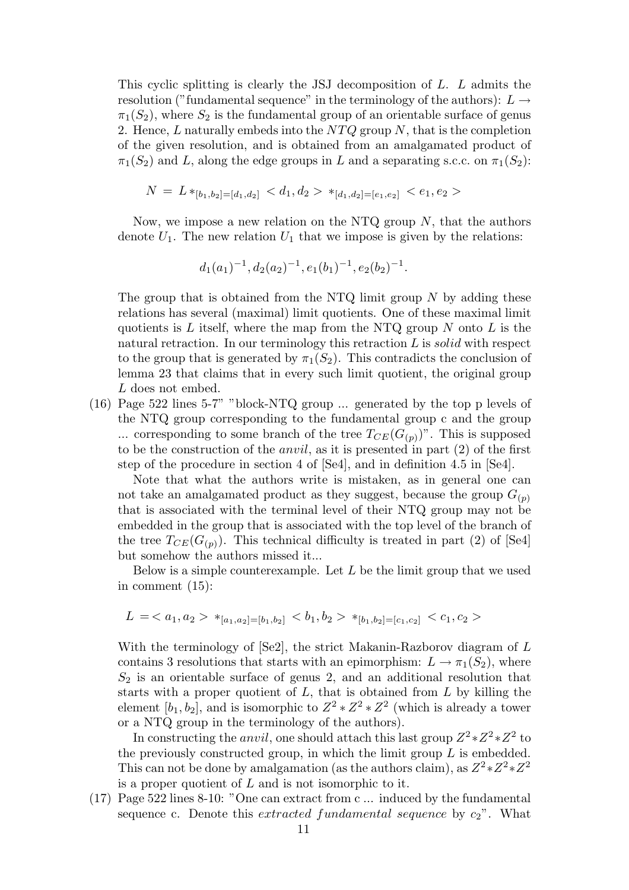This cyclic splitting is clearly the JSJ decomposition of L. L admits the resolution ("fundamental sequence" in the terminology of the authors):  $L \rightarrow$  $\pi_1(S_2)$ , where  $S_2$  is the fundamental group of an orientable surface of genus 2. Hence,  $L$  naturally embeds into the  $NTQ$  group  $N$ , that is the completion of the given resolution, and is obtained from an amalgamated product of  $\pi_1(S_2)$  and L, along the edge groups in L and a separating s.c.c. on  $\pi_1(S_2)$ :

$$
N = L *_{[b_1, b_2] = [d_1, d_2]} < d_1, d_2 > *_{[d_1, d_2] = [e_1, e_2]} < e_1, e_2 >
$$

Now, we impose a new relation on the NTQ group  $N$ , that the authors denote  $U_1$ . The new relation  $U_1$  that we impose is given by the relations:

$$
d_1(a_1)^{-1}, d_2(a_2)^{-1}, e_1(b_1)^{-1}, e_2(b_2)^{-1}.
$$

The group that is obtained from the NTQ limit group  $N$  by adding these relations has several (maximal) limit quotients. One of these maximal limit quotients is L itself, where the map from the NTQ group  $N$  onto L is the natural retraction. In our terminology this retraction  $L$  is solid with respect to the group that is generated by  $\pi_1(S_2)$ . This contradicts the conclusion of lemma 23 that claims that in every such limit quotient, the original group L does not embed.

(16) Page 522 lines 5-7" "block-NTQ group ... generated by the top p levels of the NTQ group corresponding to the fundamental group c and the group ... corresponding to some branch of the tree  $T_{CE}(G_{(p)})$ ". This is supposed to be the construction of the anvil, as it is presented in part (2) of the first step of the procedure in section 4 of [Se4], and in definition 4.5 in [Se4].

Note that what the authors write is mistaken, as in general one can not take an amalgamated product as they suggest, because the group  $G_{(p)}$ that is associated with the terminal level of their NTQ group may not be embedded in the group that is associated with the top level of the branch of the tree  $T_{CE}(G_{(p)})$ . This technical difficulty is treated in part (2) of [Se4] but somehow the authors missed it...

Below is a simple counterexample. Let  $L$  be the limit group that we used in comment (15):

$$
L = \langle a_1, a_2 \rangle *_{[a_1, a_2] = [b_1, b_2]} \langle b_1, b_2 \rangle *_{[b_1, b_2] = [c_1, c_2]} \langle c_1, c_2 \rangle
$$

With the terminology of [Se2], the strict Makanin-Razborov diagram of L contains 3 resolutions that starts with an epimorphism:  $L \to \pi_1(S_2)$ , where  $S_2$  is an orientable surface of genus 2, and an additional resolution that starts with a proper quotient of  $L$ , that is obtained from  $L$  by killing the element  $[b_1, b_2]$ , and is isomorphic to  $Z^2 \times Z^2 \times Z^2$  (which is already a tower or a NTQ group in the terminology of the authors).

In constructing the *anvil*, one should attach this last group  $Z^2 \times Z^2 \times Z^2$  to the previously constructed group, in which the limit group  $L$  is embedded. This can not be done by amalgamation (as the authors claim), as  $Z^2 \times Z^2 \times Z^2$ is a proper quotient of  $L$  and is not isomorphic to it.

(17) Page 522 lines 8-10: "One can extract from c ... induced by the fundamental sequence c. Denote this *extracted fundamental sequence* by  $c_2$ ". What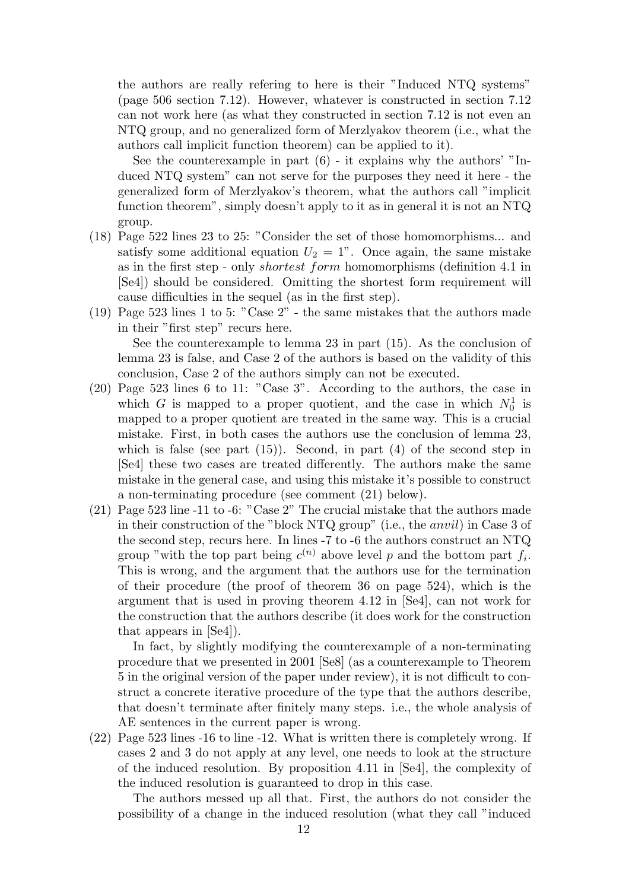the authors are really refering to here is their "Induced NTQ systems" (page 506 section 7.12). However, whatever is constructed in section 7.12 can not work here (as what they constructed in section 7.12 is not even an NTQ group, and no generalized form of Merzlyakov theorem (i.e., what the authors call implicit function theorem) can be applied to it).

See the counterexample in part  $(6)$  - it explains why the authors' "Induced NTQ system" can not serve for the purposes they need it here - the generalized form of Merzlyakov's theorem, what the authors call "implicit function theorem", simply doesn't apply to it as in general it is not an NTQ group.

- (18) Page 522 lines 23 to 25: "Consider the set of those homomorphisms... and satisfy some additional equation  $U_2 = 1$ ". Once again, the same mistake as in the first step - only shortest form homomorphisms (definition 4.1 in [Se4]) should be considered. Omitting the shortest form requirement will cause difficulties in the sequel (as in the first step).
- (19) Page 523 lines 1 to 5: "Case 2" the same mistakes that the authors made in their "first step" recurs here. See the counterexample to lemma 23 in part (15). As the conclusion of

lemma 23 is false, and Case 2 of the authors is based on the validity of this conclusion, Case 2 of the authors simply can not be executed.

- (20) Page 523 lines 6 to 11: "Case 3". According to the authors, the case in which G is mapped to a proper quotient, and the case in which  $N_0^1$  is mapped to a proper quotient are treated in the same way. This is a crucial mistake. First, in both cases the authors use the conclusion of lemma 23, which is false (see part  $(15)$ ). Second, in part  $(4)$  of the second step in [Se4] these two cases are treated differently. The authors make the same mistake in the general case, and using this mistake it's possible to construct a non-terminating procedure (see comment (21) below).
- (21) Page 523 line -11 to -6: "Case 2" The crucial mistake that the authors made in their construction of the "block NTQ group" (i.e., the anvil) in Case 3 of the second step, recurs here. In lines -7 to -6 the authors construct an NTQ group "with the top part being  $c^{(n)}$  above level p and the bottom part  $f_i$ . This is wrong, and the argument that the authors use for the termination of their procedure (the proof of theorem 36 on page 524), which is the argument that is used in proving theorem 4.12 in [Se4], can not work for the construction that the authors describe (it does work for the construction that appears in [Se4]).

In fact, by slightly modifying the counterexample of a non-terminating procedure that we presented in 2001 [Se8] (as a counterexample to Theorem 5 in the original version of the paper under review), it is not difficult to construct a concrete iterative procedure of the type that the authors describe, that doesn't terminate after finitely many steps. i.e., the whole analysis of AE sentences in the current paper is wrong.

(22) Page 523 lines -16 to line -12. What is written there is completely wrong. If cases 2 and 3 do not apply at any level, one needs to look at the structure of the induced resolution. By proposition 4.11 in [Se4], the complexity of the induced resolution is guaranteed to drop in this case.

The authors messed up all that. First, the authors do not consider the possibility of a change in the induced resolution (what they call "induced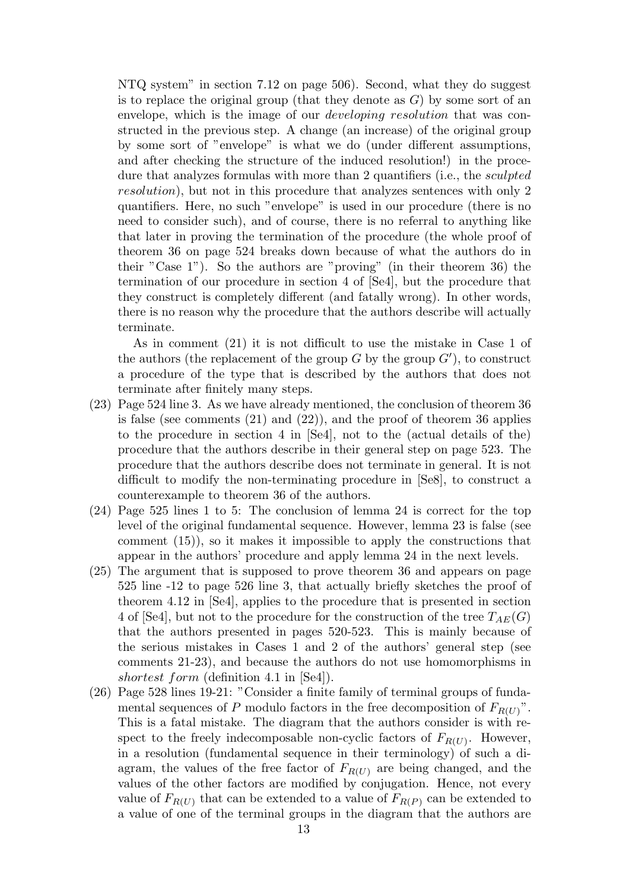NTQ system" in section 7.12 on page 506). Second, what they do suggest is to replace the original group (that they denote as  $G$ ) by some sort of an envelope, which is the image of our *developing resolution* that was constructed in the previous step. A change (an increase) of the original group by some sort of "envelope" is what we do (under different assumptions, and after checking the structure of the induced resolution!) in the procedure that analyzes formulas with more than 2 quantifiers (i.e., the sculpted resolution), but not in this procedure that analyzes sentences with only 2 quantifiers. Here, no such "envelope" is used in our procedure (there is no need to consider such), and of course, there is no referral to anything like that later in proving the termination of the procedure (the whole proof of theorem 36 on page 524 breaks down because of what the authors do in their "Case 1"). So the authors are "proving" (in their theorem 36) the termination of our procedure in section 4 of [Se4], but the procedure that they construct is completely different (and fatally wrong). In other words, there is no reason why the procedure that the authors describe will actually terminate.

As in comment (21) it is not difficult to use the mistake in Case 1 of the authors (the replacement of the group G by the group  $G'$ ), to construct a procedure of the type that is described by the authors that does not terminate after finitely many steps.

- (23) Page 524 line 3. As we have already mentioned, the conclusion of theorem 36 is false (see comments (21) and (22)), and the proof of theorem 36 applies to the procedure in section 4 in [Se4], not to the (actual details of the) procedure that the authors describe in their general step on page 523. The procedure that the authors describe does not terminate in general. It is not difficult to modify the non-terminating procedure in [Se8], to construct a counterexample to theorem 36 of the authors.
- (24) Page 525 lines 1 to 5: The conclusion of lemma 24 is correct for the top level of the original fundamental sequence. However, lemma 23 is false (see comment (15)), so it makes it impossible to apply the constructions that appear in the authors' procedure and apply lemma 24 in the next levels.
- (25) The argument that is supposed to prove theorem 36 and appears on page 525 line -12 to page 526 line 3, that actually briefly sketches the proof of theorem 4.12 in [Se4], applies to the procedure that is presented in section 4 of [Se4], but not to the procedure for the construction of the tree  $T_{AE}(G)$ that the authors presented in pages 520-523. This is mainly because of the serious mistakes in Cases 1 and 2 of the authors' general step (see comments 21-23), and because the authors do not use homomorphisms in shortest form (definition 4.1 in [Se4]).
- (26) Page 528 lines 19-21: "Consider a finite family of terminal groups of fundamental sequences of P modulo factors in the free decomposition of  $F_{R(U)}$ ". This is a fatal mistake. The diagram that the authors consider is with respect to the freely indecomposable non-cyclic factors of  $F_{R(U)}$ . However, in a resolution (fundamental sequence in their terminology) of such a diagram, the values of the free factor of  $F_{R(U)}$  are being changed, and the values of the other factors are modified by conjugation. Hence, not every value of  $F_{R(U)}$  that can be extended to a value of  $F_{R(P)}$  can be extended to a value of one of the terminal groups in the diagram that the authors are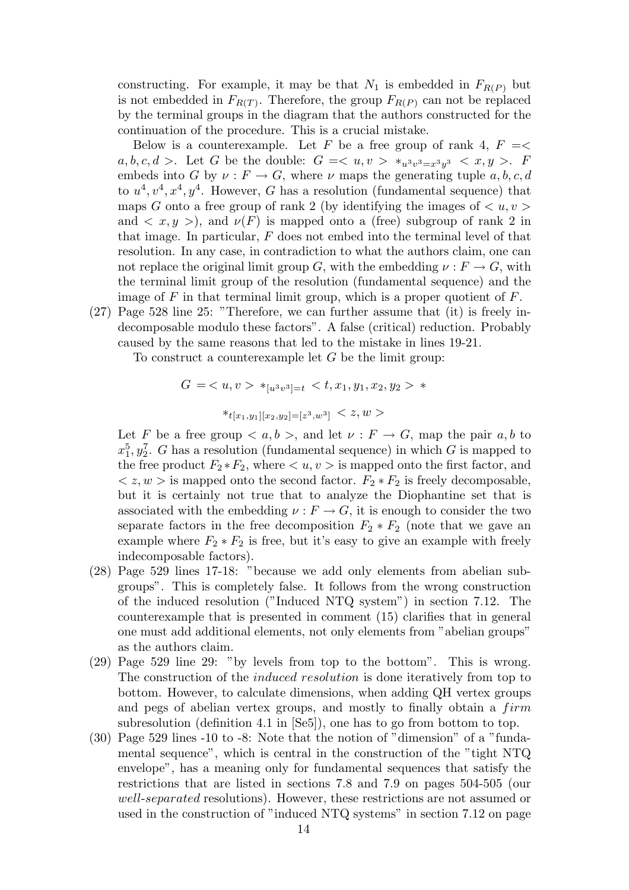constructing. For example, it may be that  $N_1$  is embedded in  $F_{R(P)}$  but is not embedded in  $F_{R(T)}$ . Therefore, the group  $F_{R(P)}$  can not be replaced by the terminal groups in the diagram that the authors constructed for the continuation of the procedure. This is a crucial mistake.

Below is a counterexample. Let F be a free group of rank 4,  $F = \leq$  $a, b, c, d > 1$  Let G be the double:  $G = \langle u, v \rangle *_{u^3v^3 = x^3y^3} \langle x, y \rangle$ . F embeds into G by  $\nu : F \to G$ , where  $\nu$  maps the generating tuple  $a, b, c, d$ to  $u^4, v^4, x^4, y^4$ . However, G has a resolution (fundamental sequence) that maps G onto a free group of rank 2 (by identifying the images of  $\langle u, v \rangle$ ) and  $\langle x, y \rangle$ , and  $\nu(F)$  is mapped onto a (free) subgroup of rank 2 in that image. In particular,  $F$  does not embed into the terminal level of that resolution. In any case, in contradiction to what the authors claim, one can not replace the original limit group G, with the embedding  $\nu : F \to G$ , with the terminal limit group of the resolution (fundamental sequence) and the image of F in that terminal limit group, which is a proper quotient of  $F$ .

(27) Page 528 line 25: "Therefore, we can further assume that (it) is freely indecomposable modulo these factors". A false (critical) reduction. Probably caused by the same reasons that led to the mistake in lines 19-21.

To construct a counterexample let  $G$  be the limit group:

$$
G = \langle u, v \rangle *_{[u^3v^3]=t} \langle v, x_1, y_1, x_2, y_2 \rangle *
$$

$$
*_{t[x_1,y_1][x_2,y_2]=[z^3,w^3]} < z,w >
$$

Let F be a free group  $\langle a, b \rangle$ , and let  $\nu : F \to G$ , map the pair  $a, b$  to  $x_1^5, y_2^7$ . G has a resolution (fundamental sequence) in which G is mapped to the free product  $F_2 * F_2$ , where  $\langle u, v \rangle$  is mapped onto the first factor, and  $\langle z, w \rangle$  is mapped onto the second factor.  $F_2 * F_2$  is freely decomposable, but it is certainly not true that to analyze the Diophantine set that is associated with the embedding  $\nu : F \to G$ , it is enough to consider the two separate factors in the free decomposition  $F_2 * F_2$  (note that we gave an example where  $F_2 * F_2$  is free, but it's easy to give an example with freely indecomposable factors).

- (28) Page 529 lines 17-18: "because we add only elements from abelian subgroups". This is completely false. It follows from the wrong construction of the induced resolution ("Induced NTQ system") in section 7.12. The counterexample that is presented in comment (15) clarifies that in general one must add additional elements, not only elements from "abelian groups" as the authors claim.
- (29) Page 529 line 29: "by levels from top to the bottom". This is wrong. The construction of the induced resolution is done iteratively from top to bottom. However, to calculate dimensions, when adding QH vertex groups and pegs of abelian vertex groups, and mostly to finally obtain a  $firm$ subresolution (definition 4.1 in [Se5]), one has to go from bottom to top.
- (30) Page 529 lines -10 to -8: Note that the notion of "dimension" of a "fundamental sequence", which is central in the construction of the "tight NTQ envelope", has a meaning only for fundamental sequences that satisfy the restrictions that are listed in sections 7.8 and 7.9 on pages 504-505 (our well-separated resolutions). However, these restrictions are not assumed or used in the construction of "induced NTQ systems" in section 7.12 on page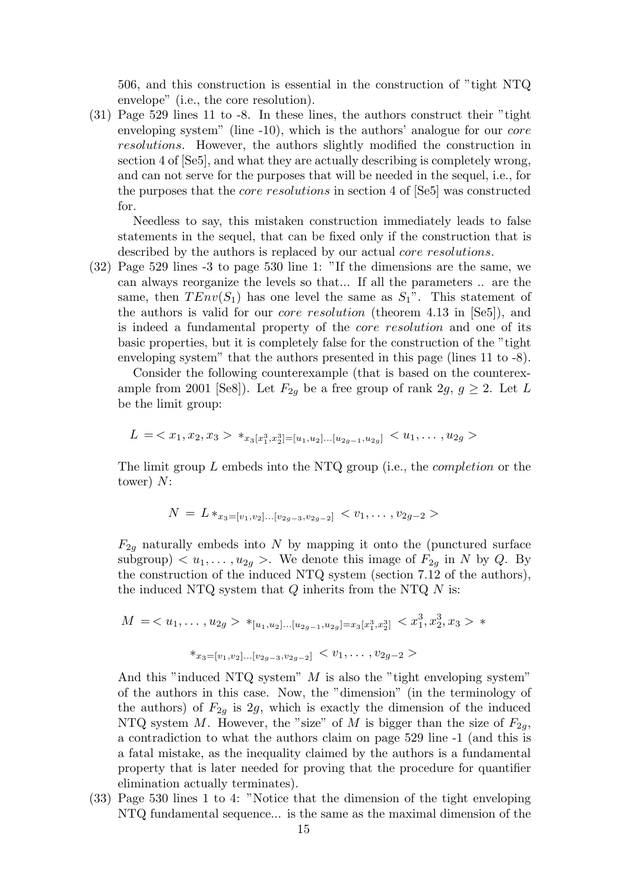506, and this construction is essential in the construction of "tight NTQ envelope" (i.e., the core resolution).

(31) Page 529 lines 11 to -8. In these lines, the authors construct their "tight enveloping system" (line -10), which is the authors' analogue for our *core* resolutions. However, the authors slightly modified the construction in section 4 of [Se5], and what they are actually describing is completely wrong, and can not serve for the purposes that will be needed in the sequel, i.e., for the purposes that the core resolutions in section 4 of [Se5] was constructed for.

Needless to say, this mistaken construction immediately leads to false statements in the sequel, that can be fixed only if the construction that is described by the authors is replaced by our actual *core resolutions*.

(32) Page 529 lines -3 to page 530 line 1: "If the dimensions are the same, we can always reorganize the levels so that... If all the parameters .. are the same, then  $TEnv(S_1)$  has one level the same as  $S_1$ ". This statement of the authors is valid for our core resolution (theorem 4.13 in [Se5]), and is indeed a fundamental property of the core resolution and one of its basic properties, but it is completely false for the construction of the "tight enveloping system" that the authors presented in this page (lines 11 to -8).

Consider the following counterexample (that is based on the counterexample from 2001 [Se8]). Let  $F_{2q}$  be a free group of rank  $2g, g \geq 2$ . Let L be the limit group:

$$
L = \langle x_1, x_2, x_3 \rangle *_{x_3[x_1^3, x_2^3] = [u_1, u_2] \dots [u_{2g-1}, u_{2g}]} \langle u_1, \dots, u_{2g} \rangle
$$

The limit group L embeds into the NTQ group (i.e., the completion or the tower) N:

$$
N = L *_{x_3 = [v_1, v_2] \dots [v_{2g-3}, v_{2g-2}]} < v_1, \dots, v_{2g-2} > \\
$$

 $F_{2g}$  naturally embeds into N by mapping it onto the (punctured surface subgroup)  $\langle u_1, \ldots, u_{2q} \rangle$ . We denote this image of  $F_{2q}$  in N by Q. By the construction of the induced NTQ system (section 7.12 of the authors), the induced NTQ system that  $Q$  inherits from the NTQ  $N$  is:

$$
M = \langle u_1, \dots, u_{2g} \rangle *_{[u_1, u_2] \dots [u_{2g-1}, u_{2g}]} = x_3[x_1^3, x_2^3] < x_1^3, x_2^3, x_3 > * * x_3 = [v_1, v_2] \dots [v_{2g-3}, v_{2g-2}] < v_1, \dots, v_{2g-2} > \dots
$$

And this "induced NTQ system"  $M$  is also the "tight enveloping system" of the authors in this case. Now, the "dimension" (in the terminology of the authors) of  $F_{2g}$  is 2g, which is exactly the dimension of the induced NTQ system M. However, the "size" of M is bigger than the size of  $F_{2q}$ , a contradiction to what the authors claim on page 529 line -1 (and this is a fatal mistake, as the inequality claimed by the authors is a fundamental property that is later needed for proving that the procedure for quantifier elimination actually terminates).

(33) Page 530 lines 1 to 4: "Notice that the dimension of the tight enveloping NTQ fundamental sequence... is the same as the maximal dimension of the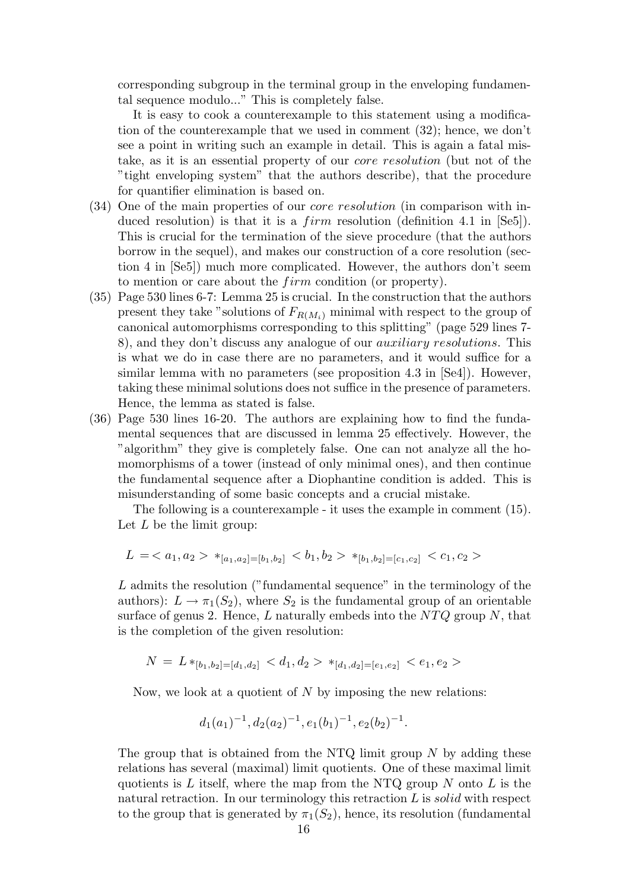corresponding subgroup in the terminal group in the enveloping fundamental sequence modulo..." This is completely false.

It is easy to cook a counterexample to this statement using a modification of the counterexample that we used in comment (32); hence, we don't see a point in writing such an example in detail. This is again a fatal mistake, as it is an essential property of our core resolution (but not of the "tight enveloping system" that the authors describe), that the procedure for quantifier elimination is based on.

- (34) One of the main properties of our core resolution (in comparison with induced resolution) is that it is a  $firm$  resolution (definition 4.1 in [Se5]). This is crucial for the termination of the sieve procedure (that the authors borrow in the sequel), and makes our construction of a core resolution (section 4 in [Se5]) much more complicated. However, the authors don't seem to mention or care about the *firm* condition (or property).
- (35) Page 530 lines 6-7: Lemma 25 is crucial. In the construction that the authors present they take "solutions of  $F_{R(M_i)}$  minimal with respect to the group of canonical automorphisms corresponding to this splitting" (page 529 lines 7- 8), and they don't discuss any analogue of our auxiliary resolutions. This is what we do in case there are no parameters, and it would suffice for a similar lemma with no parameters (see proposition  $4.3$  in  $[Se4]$ ). However, taking these minimal solutions does not suffice in the presence of parameters. Hence, the lemma as stated is false.
- (36) Page 530 lines 16-20. The authors are explaining how to find the fundamental sequences that are discussed in lemma 25 effectively. However, the "algorithm" they give is completely false. One can not analyze all the homomorphisms of a tower (instead of only minimal ones), and then continue the fundamental sequence after a Diophantine condition is added. This is misunderstanding of some basic concepts and a crucial mistake.

The following is a counterexample - it uses the example in comment (15). Let  $L$  be the limit group:

$$
L = \langle a_1, a_2 \rangle *_{[a_1, a_2] = [b_1, b_2]} \langle b_1, b_2 \rangle *_{[b_1, b_2] = [c_1, c_2]} \langle c_1, c_2 \rangle
$$

L admits the resolution ("fundamental sequence" in the terminology of the authors):  $L \to \pi_1(S_2)$ , where  $S_2$  is the fundamental group of an orientable surface of genus 2. Hence, L naturally embeds into the  $NTQ$  group N, that is the completion of the given resolution:

$$
N = L *_{[b_1, b_2] = [d_1, d_2]} < d_1, d_2 > *_{[d_1, d_2] = [e_1, e_2]} < e_1, e_2 >
$$

Now, we look at a quotient of  $N$  by imposing the new relations:

$$
d_1(a_1)^{-1}, d_2(a_2)^{-1}, e_1(b_1)^{-1}, e_2(b_2)^{-1}.
$$

The group that is obtained from the NTQ limit group  $N$  by adding these relations has several (maximal) limit quotients. One of these maximal limit quotients is L itself, where the map from the NTQ group  $N$  onto L is the natural retraction. In our terminology this retraction  $L$  is solid with respect to the group that is generated by  $\pi_1(S_2)$ , hence, its resolution (fundamental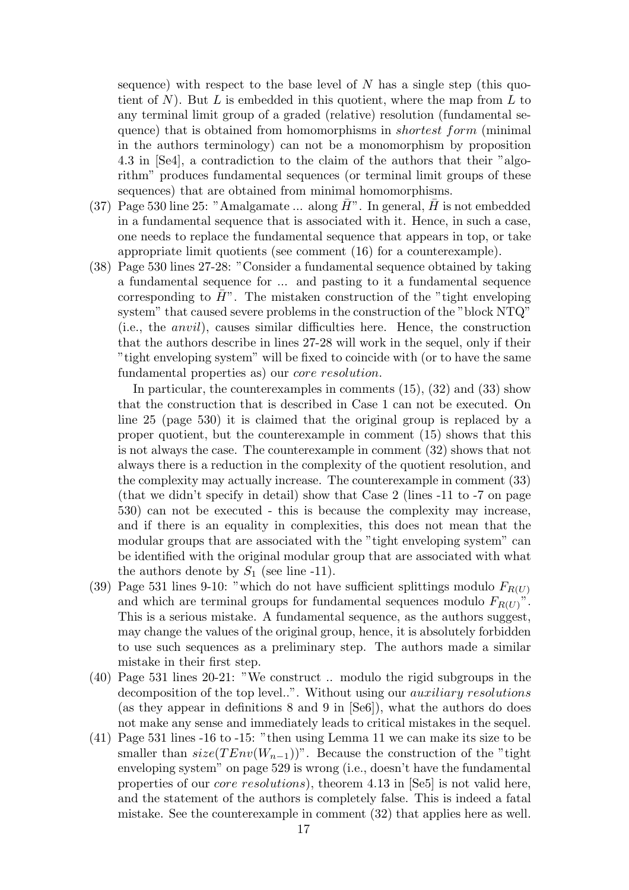sequence) with respect to the base level of N has a single step (this quotient of  $N$ ). But  $L$  is embedded in this quotient, where the map from  $L$  to any terminal limit group of a graded (relative) resolution (fundamental sequence) that is obtained from homomorphisms in *shortest form* (minimal in the authors terminology) can not be a monomorphism by proposition 4.3 in [Se4], a contradiction to the claim of the authors that their "algorithm" produces fundamental sequences (or terminal limit groups of these sequences) that are obtained from minimal homomorphisms.

- (37) Page 530 line 25: "Amalgamate ... along  $\bar{H}$ ". In general,  $\bar{H}$  is not embedded in a fundamental sequence that is associated with it. Hence, in such a case, one needs to replace the fundamental sequence that appears in top, or take appropriate limit quotients (see comment (16) for a counterexample).
- (38) Page 530 lines 27-28: "Consider a fundamental sequence obtained by taking a fundamental sequence for ... and pasting to it a fundamental sequence corresponding to  $H^{\prime\prime}$ . The mistaken construction of the "tight enveloping" system" that caused severe problems in the construction of the "block NTQ" (i.e., the anvil), causes similar difficulties here. Hence, the construction that the authors describe in lines 27-28 will work in the sequel, only if their "tight enveloping system" will be fixed to coincide with (or to have the same fundamental properties as) our core resolution.

In particular, the counterexamples in comments (15), (32) and (33) show that the construction that is described in Case 1 can not be executed. On line 25 (page 530) it is claimed that the original group is replaced by a proper quotient, but the counterexample in comment (15) shows that this is not always the case. The counterexample in comment (32) shows that not always there is a reduction in the complexity of the quotient resolution, and the complexity may actually increase. The counterexample in comment (33) (that we didn't specify in detail) show that Case 2 (lines -11 to -7 on page 530) can not be executed - this is because the complexity may increase, and if there is an equality in complexities, this does not mean that the modular groups that are associated with the "tight enveloping system" can be identified with the original modular group that are associated with what the authors denote by  $S_1$  (see line -11).

- (39) Page 531 lines 9-10: "which do not have sufficient splittings modulo  $F_{R(U)}$ and which are terminal groups for fundamental sequences modulo  $F_{R(U)}$ ". This is a serious mistake. A fundamental sequence, as the authors suggest, may change the values of the original group, hence, it is absolutely forbidden to use such sequences as a preliminary step. The authors made a similar mistake in their first step.
- (40) Page 531 lines 20-21: "We construct .. modulo the rigid subgroups in the decomposition of the top level..". Without using our *auxiliary resolutions* (as they appear in definitions 8 and 9 in [Se6]), what the authors do does not make any sense and immediately leads to critical mistakes in the sequel.
- (41) Page 531 lines -16 to -15: "then using Lemma 11 we can make its size to be smaller than  $size(TEnv(W_{n-1}))$ ". Because the construction of the "tight" enveloping system" on page 529 is wrong (i.e., doesn't have the fundamental properties of our core resolutions), theorem 4.13 in [Se5] is not valid here, and the statement of the authors is completely false. This is indeed a fatal mistake. See the counterexample in comment (32) that applies here as well.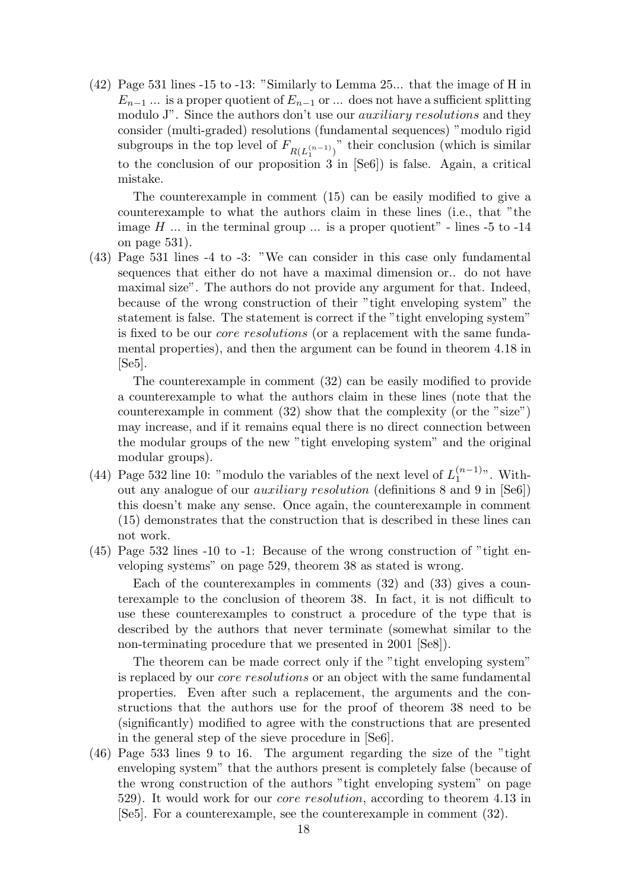(42) Page 531 lines -15 to -13: "Similarly to Lemma 25... that the image of H in  $E_{n-1}$  ... is a proper quotient of  $E_{n-1}$  or ... does not have a sufficient splitting modulo J". Since the authors don't use our *auxiliary resolutions* and they consider (multi-graded) resolutions (fundamental sequences) "modulo rigid subgroups in the top level of  $F_{R(L_1^{(n-1)})}$ " their conclusion (which is similar to the conclusion of our proposition 3 in [Se6]) is false. Again, a critical mistake.

The counterexample in comment (15) can be easily modified to give a counterexample to what the authors claim in these lines (i.e., that "the image  $H$  ... in the terminal group ... is a proper quotient" - lines -5 to -14 on page 531).

(43) Page 531 lines -4 to -3: "We can consider in this case only fundamental sequences that either do not have a maximal dimension or.. do not have maximal size". The authors do not provide any argument for that. Indeed, because of the wrong construction of their "tight enveloping system" the statement is false. The statement is correct if the "tight enveloping system" is fixed to be our core resolutions (or a replacement with the same fundamental properties), and then the argument can be found in theorem 4.18 in [Se5].

The counterexample in comment (32) can be easily modified to provide a counterexample to what the authors claim in these lines (note that the counterexample in comment (32) show that the complexity (or the "size") may increase, and if it remains equal there is no direct connection between the modular groups of the new "tight enveloping system" and the original modular groups).

- (44) Page 532 line 10: "modulo the variables of the next level of  $L_1^{(n-1)}$  $1^{(n-1)}$ . Without any analogue of our auxiliary resolution (definitions 8 and 9 in [Se6]) this doesn't make any sense. Once again, the counterexample in comment (15) demonstrates that the construction that is described in these lines can not work.
- (45) Page 532 lines -10 to -1: Because of the wrong construction of "tight enveloping systems" on page 529, theorem 38 as stated is wrong.

Each of the counterexamples in comments (32) and (33) gives a counterexample to the conclusion of theorem 38. In fact, it is not difficult to use these counterexamples to construct a procedure of the type that is described by the authors that never terminate (somewhat similar to the non-terminating procedure that we presented in 2001 [Se8]).

The theorem can be made correct only if the "tight enveloping system" is replaced by our core resolutions or an object with the same fundamental properties. Even after such a replacement, the arguments and the constructions that the authors use for the proof of theorem 38 need to be (significantly) modified to agree with the constructions that are presented in the general step of the sieve procedure in [Se6].

(46) Page 533 lines 9 to 16. The argument regarding the size of the "tight enveloping system" that the authors present is completely false (because of the wrong construction of the authors "tight enveloping system" on page 529). It would work for our core resolution, according to theorem 4.13 in [Se5]. For a counterexample, see the counterexample in comment (32).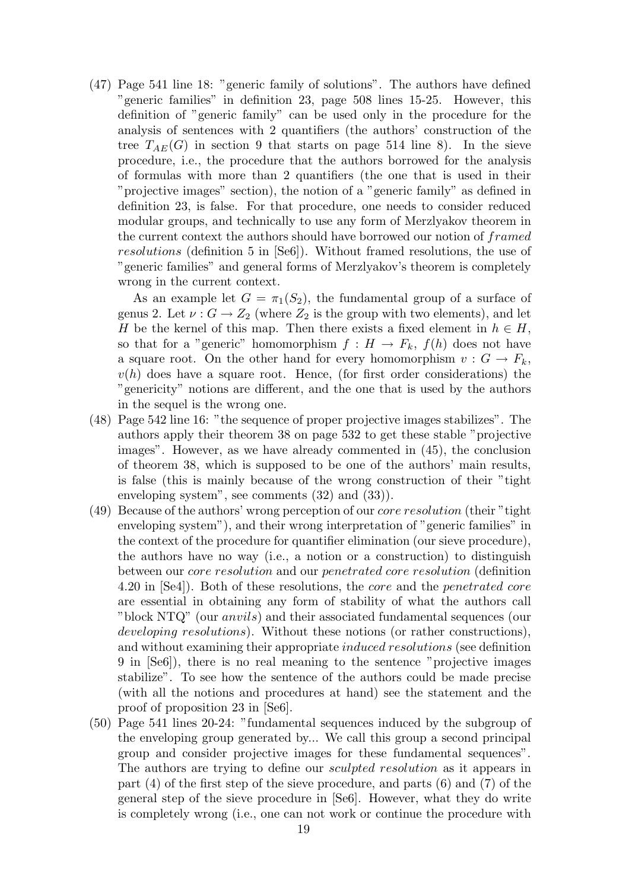(47) Page 541 line 18: "generic family of solutions". The authors have defined "generic families" in definition 23, page 508 lines 15-25. However, this definition of "generic family" can be used only in the procedure for the analysis of sentences with 2 quantifiers (the authors' construction of the tree  $T_{AE}(G)$  in section 9 that starts on page 514 line 8). In the sieve procedure, i.e., the procedure that the authors borrowed for the analysis of formulas with more than 2 quantifiers (the one that is used in their "projective images" section), the notion of a "generic family" as defined in definition 23, is false. For that procedure, one needs to consider reduced modular groups, and technically to use any form of Merzlyakov theorem in the current context the authors should have borrowed our notion of framed resolutions (definition 5 in [Se6]). Without framed resolutions, the use of "generic families" and general forms of Merzlyakov's theorem is completely wrong in the current context.

As an example let  $G = \pi_1(S_2)$ , the fundamental group of a surface of genus 2. Let  $\nu : G \to Z_2$  (where  $Z_2$  is the group with two elements), and let H be the kernel of this map. Then there exists a fixed element in  $h \in H$ , so that for a "generic" homomorphism  $f : H \to F_k$ ,  $f(h)$  does not have a square root. On the other hand for every homomorphism  $v : G \to F_k$ ,  $v(h)$  does have a square root. Hence, (for first order considerations) the "genericity" notions are different, and the one that is used by the authors in the sequel is the wrong one.

- (48) Page 542 line 16: "the sequence of proper projective images stabilizes". The authors apply their theorem 38 on page 532 to get these stable "projective images". However, as we have already commented in (45), the conclusion of theorem 38, which is supposed to be one of the authors' main results, is false (this is mainly because of the wrong construction of their "tight enveloping system", see comments (32) and (33)).
- (49) Because of the authors' wrong perception of our core resolution (their "tight enveloping system"), and their wrong interpretation of "generic families" in the context of the procedure for quantifier elimination (our sieve procedure), the authors have no way (i.e., a notion or a construction) to distinguish between our core resolution and our penetrated core resolution (definition 4.20 in [Se4]). Both of these resolutions, the core and the penetrated core are essential in obtaining any form of stability of what the authors call "block NTQ" (our anvils) and their associated fundamental sequences (our developing resolutions). Without these notions (or rather constructions), and without examining their appropriate *induced resolutions* (see definition 9 in [Se6]), there is no real meaning to the sentence "projective images stabilize". To see how the sentence of the authors could be made precise (with all the notions and procedures at hand) see the statement and the proof of proposition 23 in [Se6].
- (50) Page 541 lines 20-24: "fundamental sequences induced by the subgroup of the enveloping group generated by... We call this group a second principal group and consider projective images for these fundamental sequences". The authors are trying to define our sculpted resolution as it appears in part (4) of the first step of the sieve procedure, and parts (6) and (7) of the general step of the sieve procedure in [Se6]. However, what they do write is completely wrong (i.e., one can not work or continue the procedure with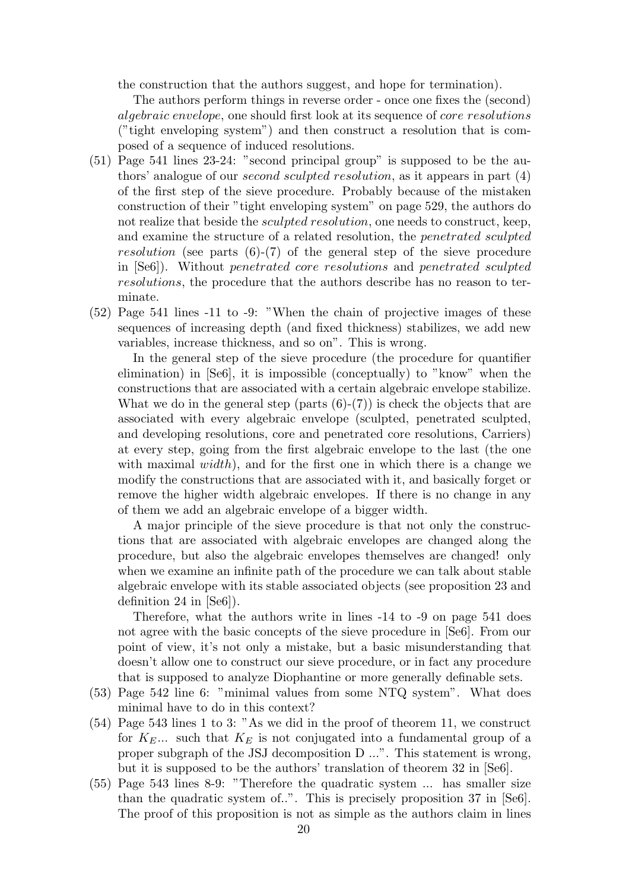the construction that the authors suggest, and hope for termination).

The authors perform things in reverse order - once one fixes the (second) algebraic envelope, one should first look at its sequence of core resolutions ("tight enveloping system") and then construct a resolution that is composed of a sequence of induced resolutions.

- (51) Page 541 lines 23-24: "second principal group" is supposed to be the authors' analogue of our second sculpted resolution, as it appears in part (4) of the first step of the sieve procedure. Probably because of the mistaken construction of their "tight enveloping system" on page 529, the authors do not realize that beside the *sculpted resolution*, one needs to construct, keep, and examine the structure of a related resolution, the penetrated sculpted resolution (see parts  $(6)-(7)$  of the general step of the sieve procedure in [Se6]). Without penetrated core resolutions and penetrated sculpted resolutions, the procedure that the authors describe has no reason to terminate.
- (52) Page 541 lines -11 to -9: "When the chain of projective images of these sequences of increasing depth (and fixed thickness) stabilizes, we add new variables, increase thickness, and so on". This is wrong.

In the general step of the sieve procedure (the procedure for quantifier elimination) in [Se6], it is impossible (conceptually) to "know" when the constructions that are associated with a certain algebraic envelope stabilize. What we do in the general step (parts  $(6)-(7)$ ) is check the objects that are associated with every algebraic envelope (sculpted, penetrated sculpted, and developing resolutions, core and penetrated core resolutions, Carriers) at every step, going from the first algebraic envelope to the last (the one with maximal  $width$ ), and for the first one in which there is a change we modify the constructions that are associated with it, and basically forget or remove the higher width algebraic envelopes. If there is no change in any of them we add an algebraic envelope of a bigger width.

A major principle of the sieve procedure is that not only the constructions that are associated with algebraic envelopes are changed along the procedure, but also the algebraic envelopes themselves are changed! only when we examine an infinite path of the procedure we can talk about stable algebraic envelope with its stable associated objects (see proposition 23 and definition 24 in [Se6]).

Therefore, what the authors write in lines -14 to -9 on page 541 does not agree with the basic concepts of the sieve procedure in [Se6]. From our point of view, it's not only a mistake, but a basic misunderstanding that doesn't allow one to construct our sieve procedure, or in fact any procedure that is supposed to analyze Diophantine or more generally definable sets.

- (53) Page 542 line 6: "minimal values from some NTQ system". What does minimal have to do in this context?
- (54) Page 543 lines 1 to 3: "As we did in the proof of theorem 11, we construct for  $K_E...$  such that  $K_E$  is not conjugated into a fundamental group of a proper subgraph of the JSJ decomposition D ...". This statement is wrong, but it is supposed to be the authors' translation of theorem 32 in [Se6].
- (55) Page 543 lines 8-9: "Therefore the quadratic system ... has smaller size than the quadratic system of..". This is precisely proposition 37 in [Se6]. The proof of this proposition is not as simple as the authors claim in lines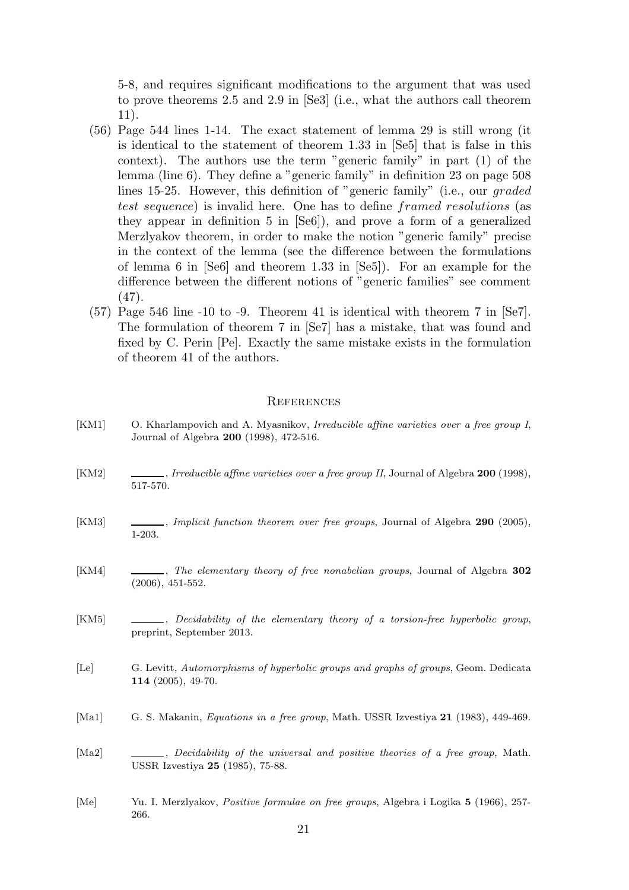5-8, and requires significant modifications to the argument that was used to prove theorems 2.5 and 2.9 in [Se3] (i.e., what the authors call theorem 11).

- (56) Page 544 lines 1-14. The exact statement of lemma 29 is still wrong (it is identical to the statement of theorem 1.33 in [Se5] that is false in this context). The authors use the term "generic family" in part (1) of the lemma (line 6). They define a "generic family" in definition 23 on page 508 lines 15-25. However, this definition of "generic family" (i.e., our graded test sequence) is invalid here. One has to define framed resolutions (as they appear in definition 5 in [Se6]), and prove a form of a generalized Merzlyakov theorem, in order to make the notion "generic family" precise in the context of the lemma (see the difference between the formulations of lemma 6 in [Se6] and theorem 1.33 in [Se5]). For an example for the difference between the different notions of "generic families" see comment (47).
- (57) Page 546 line -10 to -9. Theorem 41 is identical with theorem 7 in [Se7]. The formulation of theorem 7 in [Se7] has a mistake, that was found and fixed by C. Perin [Pe]. Exactly the same mistake exists in the formulation of theorem 41 of the authors.

#### **REFERENCES**

- [KM1] O. Kharlampovich and A. Myasnikov, Irreducible affine varieties over a free group I, Journal of Algebra 200 (1998), 472-516.
- [KM2] , Irreducible affine varieties over a free group II, Journal of Algebra 200 (1998), 517-570.
- [KM3] , Implicit function theorem over free groups, Journal of Algebra 290 (2005), 1-203.
- [KM4] , The elementary theory of free nonabelian groups, Journal of Algebra 302 (2006), 451-552.
- [KM5] , Decidability of the elementary theory of a torsion-free hyperbolic group, preprint, September 2013.
- [Le] G. Levitt, Automorphisms of hyperbolic groups and graphs of groups, Geom. Dedicata 114 (2005), 49-70.
- [Ma1] G. S. Makanin, Equations in a free group, Math. USSR Izvestiya 21 (1983), 449-469.
- [Ma2] , Decidability of the universal and positive theories of a free group, Math. USSR Izvestiya 25 (1985), 75-88.
- [Me] Yu. I. Merzlyakov, Positive formulae on free groups, Algebra i Logika 5 (1966), 257- 266.